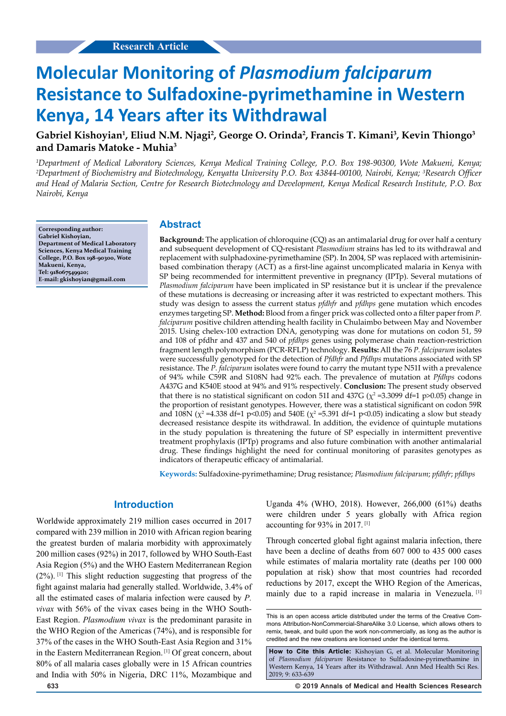# **Molecular Monitoring of** *Plasmodium falciparum*  **Resistance to Sulfadoxine-pyrimethamine in Western Kenya, 14 Years after its Withdrawal**

# **Gabriel Kishoyian1 , Eliud N.M. Njagi2 , George O. Orinda2 , Francis T. Kimani3 , Kevin Thiongo3 and Damaris Matoke - Muhia3**

*1 Department of Medical Laboratory Sciences, Kenya Medical Training College, P.O. Box 198-90300, Wote Makueni, Kenya; 2 Department of Biochemistry and Biotechnology, Kenyatta University P.O. Box 43844-00100, Nairobi, Kenya; 3 Research Officer and Head of Malaria Section, Centre for Research Biotechnology and Development, Kenya Medical Research Institute, P.O. Box Nairobi, Kenya*

**Corresponding author: Gabriel Kishoyian, Department of Medical Laboratory Sciences, Kenya Medical Training College, P.O. Box 198-90300, Wote Makueni, Kenya, Tel: 918067549920; E-mail: gkishoyian@gmail.com**

#### **Abstract**

**Background:** The application of chloroquine (CQ) as an antimalarial drug for over half a century and subsequent development of CQ-resistant *Plasmodium* strains has led to its withdrawal and replacement with sulphadoxine-pyrimethamine (SP). In 2004, SP was replaced with artemisininbased combination therapy (ACT) as a first-line against uncomplicated malaria in Kenya with SP being recommended for intermittent preventive in pregnancy (IPTp). Several mutations of *Plasmodium falciparum* have been implicated in SP resistance but it is unclear if the prevalence of these mutations is decreasing or increasing after it was restricted to expectant mothers. This study was design to assess the current status *pfdhfr* and *pfdhps* gene mutation which encodes enzymes targeting SP. **Method:** Blood from a finger prick was collected onto a filter paper from *P. falciparum* positive children attending health facility in Chulaimbo between May and November 2015. Using chelex-100 extraction DNA, genotyping was done for mutations on codon 51, 59 and 108 of pfdhr and 437 and 540 of *pfdhps* genes using polymerase chain reaction-restriction fragment length polymorphism (PCR-RFLP) technology. **Results:** All the 76 *P. falciparum* isolates were successfully genotyped for the detection of *Pfdhfr* and *Pfdhps* mutations associated with SP resistance. The *P. falciparum* isolates were found to carry the mutant type N51I with a prevalence of 94% while C59R and S108N had 92% each. The prevalence of mutation at *Pfdhps* codons A437G and K540E stood at 94% and 91% respectively. **Conclusion:** The present study observed that there is no statistical significant on codon 51I and 437G ( $\chi^2$  =3.3099 df=1 p>0.05) change in the proportion of resistant genotypes. However, there was a statistical significant on codon 59R and 108N ( $\chi^2$  =4.338 df=1 p<0.05) and 540E ( $\chi^2$  =5.391 df=1 p<0.05) indicating a slow but steady decreased resistance despite its withdrawal. In addition, the evidence of quintuple mutations in the study population is threatening the future of SP especially in intermittent preventive treatment prophylaxis (IPTp) programs and also future combination with another antimalarial drug. These findings highlight the need for continual monitoring of parasites genotypes as indicators of therapeutic efficacy of antimalarial.

**Keywords:** Sulfadoxine-pyrimethamine; Drug resistance; *Plasmodium falciparum*; *pfdhfr*; *pfdhps*

## **Introduction**

Worldwide approximately 219 million cases occurred in 2017 compared with 239 million in 2010 with African region bearing the greatest burden of malaria morbidity with approximately 200 million cases (92%) in 2017, followed by WHO South-East Asia Region (5%) and the WHO Eastern Mediterranean Region (2%). [1] This slight reduction suggesting that progress of the fight against malaria had generally stalled. Worldwide, 3.4% of all the estimated cases of malaria infection were caused by *P. vivax* with 56% of the vivax cases being in the WHO South-East Region. *Plasmodium vivax* is the predominant parasite in the WHO Region of the Americas (74%), and is responsible for 37% of the cases in the WHO South-East Asia Region and 31% in the Eastern Mediterranean Region. [1] Of great concern, about 80% of all malaria cases globally were in 15 African countries and India with 50% in Nigeria, DRC 11%, Mozambique and

Uganda 4% (WHO, 2018). However, 266,000 (61%) deaths were children under 5 years globally with Africa region accounting for 93% in 2017. [1]

Through concerted global fight against malaria infection, there have been a decline of deaths from 607 000 to 435 000 cases while estimates of malaria mortality rate (deaths per 100 000 population at risk) show that most countries had recorded reductions by 2017, except the WHO Region of the Americas, mainly due to a rapid increase in malaria in Venezuela.<sup>[1]</sup>

This is an open access article distributed under the terms of the Creative Com‑ mons Attribution‑NonCommercial‑ShareAlike 3.0 License, which allows others to remix, tweak, and build upon the work non-commercially, as long as the author is credited and the new creations are licensed under the identical terms.

**How to Cite this Article:** Kishoyian G, et al. Molecular Monitoring of *Plasmodium falciparum* Resistance to Sulfadoxine-pyrimethamine in Western Kenya, 14 Years after its Withdrawal. Ann Med Health Sci Res. 2019; 9: 633-639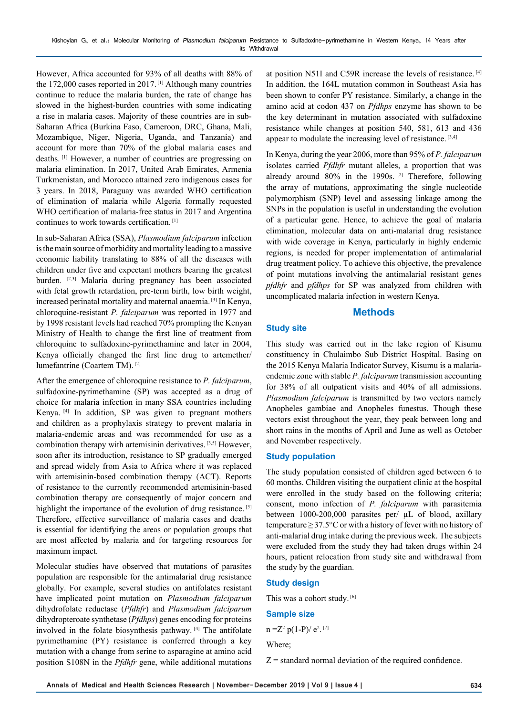However, Africa accounted for 93% of all deaths with 88% of the 172,000 cases reported in 2017. [1] Although many countries continue to reduce the malaria burden, the rate of change has slowed in the highest-burden countries with some indicating a rise in malaria cases. Majority of these countries are in sub-Saharan Africa (Burkina Faso, Cameroon, DRC, Ghana, Mali, Mozambique, Niger, Nigeria, Uganda, and Tanzania) and account for more than 70% of the global malaria cases and deaths. [1] However, a number of countries are progressing on malaria elimination. In 2017, United Arab Emirates, Armenia Turkmenistan, and Morocco attained zero indigenous cases for 3 years. In 2018, Paraguay was awarded WHO certification of elimination of malaria while Algeria formally requested WHO certification of malaria-free status in 2017 and Argentina continues to work towards certification. [1]

In sub-Saharan Africa (SSA), *Plasmodium falciparum* infection is the main source of morbidity and mortality leading to a massive economic liability translating to 88% of all the diseases with children under five and expectant mothers bearing the greatest burden. [2,3] Malaria during pregnancy has been associated with fetal growth retardation, pre-term birth, low birth weight, increased perinatal mortality and maternal anaemia. [3] In Kenya, chloroquine-resistant *P. falciparum* was reported in 1977 and by 1998 resistant levels had reached 70% prompting the Kenyan Ministry of Health to change the first line of treatment from chloroquine to sulfadoxine-pyrimethamine and later in 2004, Kenya officially changed the first line drug to artemether/ lumefantrine (Coartem TM). [2]

After the emergence of chloroquine resistance to *P. falciparum*, sulfadoxine-pyrimethamine (SP) was accepted as a drug of choice for malaria infection in many SSA countries including Kenya. [4] In addition, SP was given to pregnant mothers and children as a prophylaxis strategy to prevent malaria in malaria-endemic areas and was recommended for use as a combination therapy with artemisinin derivatives. [3,5] However, soon after its introduction, resistance to SP gradually emerged and spread widely from Asia to Africa where it was replaced with artemisinin-based combination therapy (ACT). Reports of resistance to the currently recommended artemisinin-based combination therapy are consequently of major concern and highlight the importance of the evolution of drug resistance. [5] Therefore, effective surveillance of malaria cases and deaths is essential for identifying the areas or population groups that are most affected by malaria and for targeting resources for maximum impact.

Molecular studies have observed that mutations of parasites population are responsible for the antimalarial drug resistance globally. For example, several studies on antifolates resistant have implicated point mutation on *Plasmodium falciparum* dihydrofolate reductase (*Pfdhfr*) and *Plasmodium falciparum* dihydropteroate synthetase (*Pfdhps*) genes encoding for proteins involved in the folate biosynthesis pathway. [4] The antifolate pyrimethamine (PY) resistance is conferred through a key mutation with a change from serine to asparagine at amino acid position S108N in the *Pfdhfr* gene, while additional mutations at position N51I and C59R increase the levels of resistance. [4] In addition, the 164L mutation common in Southeast Asia has been shown to confer PY resistance. Similarly, a change in the amino acid at codon 437 on *Pfdhps* enzyme has shown to be the key determinant in mutation associated with sulfadoxine resistance while changes at position 540, 581, 613 and 436 appear to modulate the increasing level of resistance. [3,4]

In Kenya, during the year 2006, more than 95% of *P. falciparum*  isolates carried *Pfdhfr* mutant alleles, a proportion that was already around  $80\%$  in the 1990s. <sup>[2]</sup> Therefore, following the array of mutations, approximating the single nucleotide polymorphism (SNP) level and assessing linkage among the SNPs in the population is useful in understanding the evolution of a particular gene. Hence, to achieve the goal of malaria elimination, molecular data on anti-malarial drug resistance with wide coverage in Kenya, particularly in highly endemic regions, is needed for proper implementation of antimalarial drug treatment policy. To achieve this objective, the prevalence of point mutations involving the antimalarial resistant genes *pfdhfr* and *pfdhps* for SP was analyzed from children with uncomplicated malaria infection in western Kenya.

## **Methods**

#### **Study site**

This study was carried out in the lake region of Kisumu constituency in Chulaimbo Sub District Hospital. Basing on the 2015 Kenya Malaria Indicator Survey, Kisumu is a malariaendemic zone with stable *P. falciparum* transmission accounting for 38% of all outpatient visits and 40% of all admissions. *Plasmodium falciparum* is transmitted by two vectors namely Anopheles gambiae and Anopheles funestus. Though these vectors exist throughout the year, they peak between long and short rains in the months of April and June as well as October and November respectively.

#### **Study population**

The study population consisted of children aged between 6 to 60 months. Children visiting the outpatient clinic at the hospital were enrolled in the study based on the following criteria; consent, mono infection of *P. falciparum* with parasitemia between 1000-200,000 parasites per/ µL of blood, axillary temperature  $\geq$  37.5°C or with a history of fever with no history of anti-malarial drug intake during the previous week. The subjects were excluded from the study they had taken drugs within 24 hours, patient relocation from study site and withdrawal from the study by the guardian.

#### **Study design**

This was a cohort study. [6]

#### **Sample size**

 $n = Z^2 p(1-P)/e^2$ . [7]

Where;

 $Z$  = standard normal deviation of the required confidence.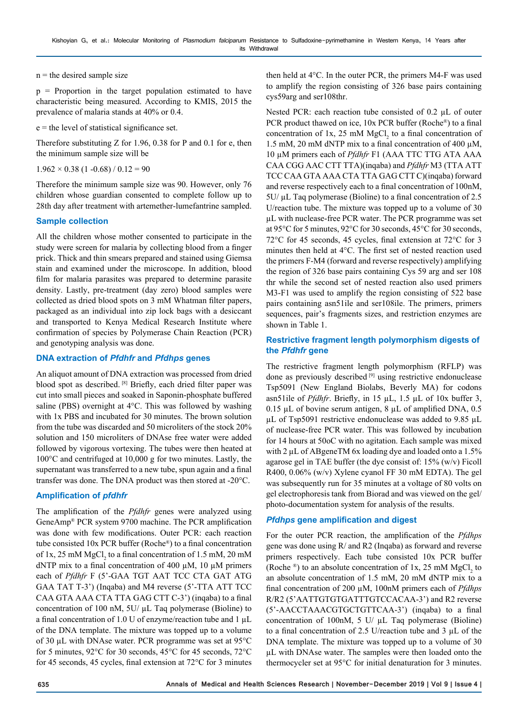$n =$  the desired sample size

 $p =$  Proportion in the target population estimated to have characteristic being measured. According to KMIS, 2015 the prevalence of malaria stands at 40% or 0.4.

 $e$  = the level of statistical significance set.

Therefore substituting Z for 1.96, 0.38 for P and 0.1 for e, then the minimum sample size will be

 $1.962 \times 0.38$  (1 -0.68) / 0.12 = 90

Therefore the minimum sample size was 90. However, only 76 children whose guardian consented to complete follow up to 28th day after treatment with artemether-lumefantrine sampled.

#### **Sample collection**

All the children whose mother consented to participate in the study were screen for malaria by collecting blood from a finger prick. Thick and thin smears prepared and stained using Giemsa stain and examined under the microscope. In addition, blood film for malaria parasites was prepared to determine parasite density. Lastly, pre-treatment (day zero) blood samples were collected as dried blood spots on 3 mM Whatman filter papers, packaged as an individual into zip lock bags with a desiccant and transported to Kenya Medical Research Institute where confirmation of species by Polymerase Chain Reaction (PCR) and genotyping analysis was done.

## **DNA extraction of** *Pfdhfr* **and** *Pfdhps* **genes**

An aliquot amount of DNA extraction was processed from dried blood spot as described. [8] Briefly, each dried filter paper was cut into small pieces and soaked in Saponin-phosphate buffered saline (PBS) overnight at 4°C. This was followed by washing with 1x PBS and incubated for 30 minutes. The brown solution from the tube was discarded and 50 microliters of the stock 20% solution and 150 microliters of DNAse free water were added followed by vigorous vortexing. The tubes were then heated at 100°C and centrifuged at 10,000 g for two minutes. Lastly, the supernatant was transferred to a new tube, spun again and a final transfer was done. The DNA product was then stored at -20°C.

## **Amplification of** *pfdhfr*

The amplification of the *Pfdhfr* genes were analyzed using GeneAmp® PCR system 9700 machine. The PCR amplification was done with few modifications. Outer PCR: each reaction tube consisted 10x PCR buffer (Roche®) to a final concentration of 1x, 25 mM  $MgCl<sub>2</sub>$  to a final concentration of 1.5 mM, 20 mM dNTP mix to a final concentration of 400  $\mu$ M, 10  $\mu$ M primers each of *Pfdhfr* F (5'-GAA TGT AAT TCC CTA GAT ATG GAA TAT T-3') (Inqaba) and M4 reverse (5'-TTA ATT TCC CAA GTA AAA CTA TTA GAG CTT C-3') (inqaba) to a final concentration of 100 nM, 5U/ µL Taq polymerase (Bioline) to a final concentration of 1.0 U of enzyme/reaction tube and 1  $\mu$ L of the DNA template. The mixture was topped up to a volume of 30 µL with DNAse water. PCR programme was set at 95°C for 5 minutes, 92°C for 30 seconds, 45°C for 45 seconds, 72°C for 45 seconds, 45 cycles, final extension at 72°C for 3 minutes

then held at 4°C. In the outer PCR, the primers M4-F was used to amplify the region consisting of 326 base pairs containing cys59arg and ser108thr.

Nested PCR: each reaction tube consisted of 0.2 µL of outer PCR product thawed on ice, 10x PCR buffer (Roche®) to a final concentration of 1x, 25 mM  $MgCl<sub>2</sub>$  to a final concentration of 1.5 mM, 20 mM dNTP mix to a final concentration of 400 µM, 10 µM primers each of *Pfdhfr* F1 (AAA TTC TTG ATA AAA CAA CGG AAC CTT TTA)(inqaba) and *Pfdhfr* M3 (TTA ATT TCC CAA GTA AAA CTA TTA GAG CTT C)(inqaba) forward and reverse respectively each to a final concentration of 100nM, 5U/ µL Taq polymerase (Bioline) to a final concentration of 2.5 U/reaction tube. The mixture was topped up to a volume of 30 µL with nuclease-free PCR water. The PCR programme was set at 95°C for 5 minutes, 92°C for 30 seconds, 45°C for 30 seconds, 72°C for 45 seconds, 45 cycles, final extension at 72°C for 3 minutes then held at 4°C. The first set of nested reaction used the primers F-M4 (forward and reverse respectively) amplifying the region of 326 base pairs containing Cys 59 arg and ser 108 thr while the second set of nested reaction also used primers M3-F1 was used to amplify the region consisting of 522 base pairs containing asn51ile and ser108ile. The primers, primers sequences, pair's fragments sizes, and restriction enzymes are shown in Table 1.

## **Restrictive fragment length polymorphism digests of the** *Pfdhfr* **gene**

The restrictive fragment length polymorphism (RFLP) was done as previously described [9] using restrictive endonuclease Tsp5091 (New England Biolabs, Beverly MA) for codons asn51ile of *Pfdhfr*. Briefly, in 15 µL, 1.5 µL of 10x buffer 3, 0.15  $\mu$ L of bovine serum antigen, 8  $\mu$ L of amplified DNA, 0.5 µL of Tsp5091 restrictive endonuclease was added to 9.85 µL of nuclease-free PCR water. This was followed by incubation for 14 hours at 50oC with no agitation. Each sample was mixed with 2 µL of ABgeneTM 6x loading dye and loaded onto a 1.5% agarose gel in TAE buffer (the dye consist of: 15% (w/v) Ficoll R400, 0.06% (w/v) Xylene cyanol FF 30 mM EDTA). The gel was subsequently run for 35 minutes at a voltage of 80 volts on gel electrophoresis tank from Biorad and was viewed on the gel/ photo-documentation system for analysis of the results.

# *Pfdhps* **gene amplification and digest**

For the outer PCR reaction, the amplification of the *Pfdhps* gene was done using R/ and R2 (Inqaba) as forward and reverse primers respectively. Each tube consisted 10x PCR buffer (Roche  $\mathcal{L}$ ) to an absolute concentration of 1x, 25 mM MgCl<sub>2</sub> to an absolute concentration of 1.5 mM, 20 mM dNTP mix to a final concentration of 200 µM, 100nM primers each of *Pfdhps* R/R2 (5'AATTGTGTGATTTGTCCACAA-3') and R2 reverse (5'-AACCTAAACGTGCTGTTCAA-3') (inqaba) to a final concentration of 100nM, 5 U/ µL Taq polymerase (Bioline) to a final concentration of 2.5 U/reaction tube and 3 µL of the DNA template. The mixture was topped up to a volume of 30 µL with DNAse water. The samples were then loaded onto the thermocycler set at 95°C for initial denaturation for 3 minutes.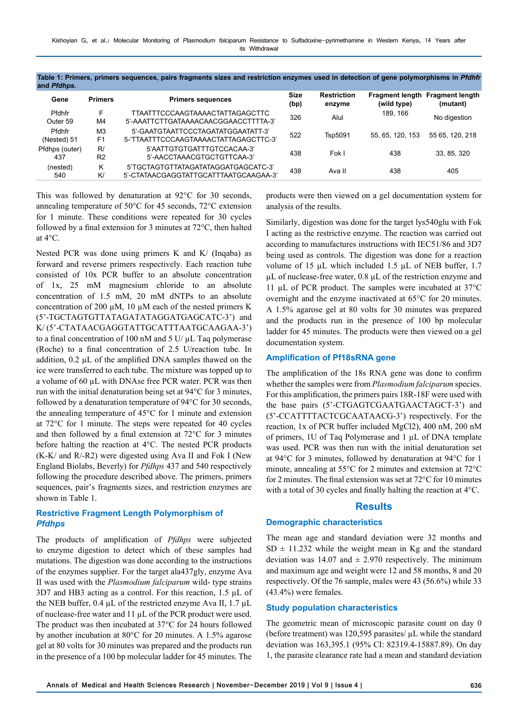| Table 1: Primers, primers sequences, pairs fragments sizes and restriction enzymes used in detection of gene polymorphisms in Pfdhfr<br>and <i>Pfdhps</i> . |                |                          |              |                              |                                                       |          |  |  |  |  |
|-------------------------------------------------------------------------------------------------------------------------------------------------------------|----------------|--------------------------|--------------|------------------------------|-------------------------------------------------------|----------|--|--|--|--|
| Gene                                                                                                                                                        | <b>Primers</b> | <b>Primers sequences</b> | Size<br>(bp) | <b>Restriction</b><br>enzvme | <b>Fragment length Fragment length</b><br>(wild type) | (mutant) |  |  |  |  |
|                                                                                                                                                             |                |                          |              |                              |                                                       |          |  |  |  |  |

|                       |                                  |                                                                              | ושמו | "              | Inna tina     | ,,,,,,,,,,,     |
|-----------------------|----------------------------------|------------------------------------------------------------------------------|------|----------------|---------------|-----------------|
| Pfdhfr<br>Outer 59    | F.<br>M4                         | TTAATTTCCCAAGTAAAACTATTAGAGCTTC<br>5'-AAATTCTTGATAAAACAACGGAACCTTTTA-3'      | 326  | Alul           | 189.166       | No digestion    |
| Pfdhfr<br>(Nested) 51 | M <sub>3</sub><br>F <sub>1</sub> | 5'-GAATGTAATTCCCTAGATATGGAATATT-3'<br>5-TTAATTTCCCAAGTAAAACTATTAGAGCTTC-3'   | 522  | <b>Tsp5091</b> | 55.65.120.153 | 55 65, 120, 218 |
| Pfdhps (outer)<br>437 | R/<br>R <sub>2</sub>             | 5'AATTGTGTGATTTGTCCACAA-3'<br>5'-AACCTAAACGTGCTGTTCAA-3'                     | 438  | Fok I          | 438           | 33, 85, 320     |
| (nested)<br>540       | Κ<br>K/                          | 5'TGCTAGTGTTATAGATATAGGATGAGCATC-3'<br>5'-CTATAACGAGGTATTGCATTTAATGCAAGAA-3' | 438  | Ava II         | 438           | 405             |

This was followed by denaturation at 92°C for 30 seconds, annealing temperature of 50°C for 45 seconds, 72°C extension for 1 minute. These conditions were repeated for 30 cycles followed by a final extension for 3 minutes at 72°C, then halted at 4°C.

Nested PCR was done using primers K and K/ (Inqaba) as forward and reverse primers respectively. Each reaction tube consisted of 10x PCR buffer to an absolute concentration of 1x, 25 mM magnesium chloride to an absolute concentration of 1.5 mM, 20 mM dNTPs to an absolute concentration of 200  $\mu$ M, 10  $\mu$ M each of the nested primers K (5'-TGCTAGTGTTATAGATATAGGATGAGCATC-3') and K/ (5'-CTATAACGAGGTATTGCATTTAATGCAAGAA-3') to a final concentration of 100 nM and 5 U/ $\mu$ L Taq polymerase (Roche) to a final concentration of 2.5 U/reaction tube. In addition,  $0.2 \mu L$  of the amplified DNA samples thawed on the ice were transferred to each tube. The mixture was topped up to a volume of 60 µL with DNAse free PCR water. PCR was then run with the initial denaturation being set at 94°C for 3 minutes, followed by a denaturation temperature of 94°C for 30 seconds, the annealing temperature of 45°C for 1 minute and extension at 72°C for 1 minute. The steps were repeated for 40 cycles and then followed by a final extension at 72°C for 3 minutes before halting the reaction at 4°C. The nested PCR products  $(K-K)$  and  $R/-R2$ ) were digested using Ava II and Fok I (New England Biolabs, Beverly) for *Pfdhps* 437 and 540 respectively following the procedure described above. The primers, primers sequences, pair's fragments sizes, and restriction enzymes are shown in Table 1.

#### **Restrictive Fragment Length Polymorphism of**  *Pfdhps*

The products of amplification of *Pfdhps* were subjected to enzyme digestion to detect which of these samples had mutations. The digestion was done according to the instructions of the enzymes supplier. For the target ala437gly, enzyme Ava II was used with the *Plasmodium falciparum* wild- type strains 3D7 and HB3 acting as a control. For this reaction, 1.5 µL of the NEB buffer, 0.4 µL of the restricted enzyme Ava II, 1.7 µL of nuclease-free water and 11 µL of the PCR product were used. The product was then incubated at 37°C for 24 hours followed by another incubation at 80°C for 20 minutes. A 1.5% agarose gel at 80 volts for 30 minutes was prepared and the products run in the presence of a 100 bp molecular ladder for 45 minutes. The

products were then viewed on a gel documentation system for analysis of the results.

Similarly, digestion was done for the target lys540glu with Fok I acting as the restrictive enzyme. The reaction was carried out according to manufactures instructions with IEC51/86 and 3D7 being used as controls. The digestion was done for a reaction volume of 15 µL which included 1.5 µL of NEB buffer, 1.7  $\mu$ L of nuclease-free water, 0.8  $\mu$ L of the restriction enzyme and 11 µL of PCR product. The samples were incubated at 37°C overnight and the enzyme inactivated at 65°C for 20 minutes. A 1.5% agarose gel at 80 volts for 30 minutes was prepared and the products run in the presence of 100 bp molecular ladder for 45 minutes. The products were then viewed on a gel documentation system.

## **Amplification of Pf18sRNA gene**

The amplification of the 18s RNA gene was done to confirm whether the samples were from *Plasmodium falciparum* species. For this amplification, the primers pairs 18R-18F were used with the base pairs (5'-CTGAGTCGAATGAACTAGCT-3') and (5'-CCATTTTACTCGCAATAACG-3') respectively. For the reaction, 1x of PCR buffer included MgCl2), 400 nM, 200 nM of primers, 1U of Taq Polymerase and 1 µL of DNA template was used. PCR was then run with the initial denaturation set at 94°C for 3 minutes, followed by denaturation at 94°C for 1 minute, annealing at 55°C for 2 minutes and extension at 72°C for 2 minutes. The final extension was set at 72°C for 10 minutes with a total of 30 cycles and finally halting the reaction at 4°C.

## **Results**

#### **Demographic characteristics**

The mean age and standard deviation were 32 months and  $SD \pm 11.232$  while the weight mean in Kg and the standard deviation was  $14.07$  and  $\pm 2.970$  respectively. The minimum and maximum age and weight were 12 and 58 months, 8 and 20 respectively. Of the 76 sample, males were 43 (56.6%) while 33 (43.4%) were females.

## **Study population characteristics**

The geometric mean of microscopic parasite count on day 0 (before treatment) was 120,595 parasites/ $\mu$ L while the standard deviation was 163,395.1 (95% CI: 82319.4-15887.89). On day 1, the parasite clearance rate had a mean and standard deviation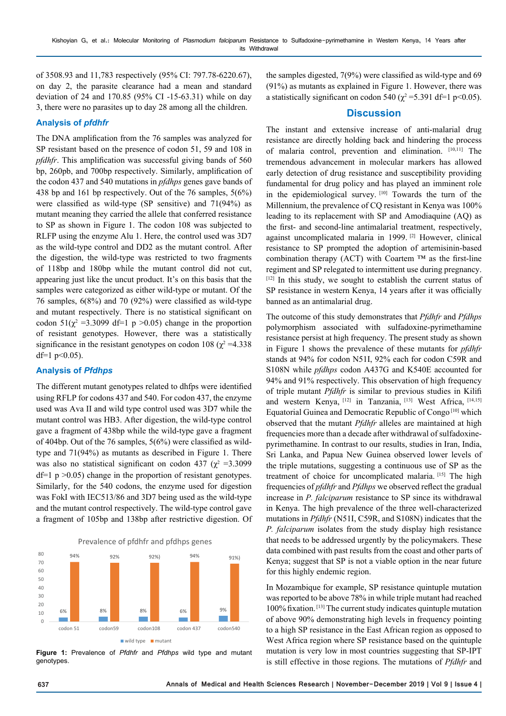of 3508.93 and 11,783 respectively (95% CI: 797.78-6220.67), on day 2, the parasite clearance had a mean and standard deviation of 24 and 170.85 (95% CI -15-63.31) while on day 3, there were no parasites up to day 28 among all the children.

## **Analysis of** *pfdhfr*

The DNA amplification from the 76 samples was analyzed for SP resistant based on the presence of codon 51, 59 and 108 in *pfdhfr*. This amplification was successful giving bands of 560 bp, 260pb, and 700bp respectively. Similarly, amplification of the codon 437 and 540 mutations in *pfdhps* genes gave bands of 438 bp and 161 bp respectively. Out of the 76 samples, 5(6%) were classified as wild-type (SP sensitive) and 71(94%) as mutant meaning they carried the allele that conferred resistance to SP as shown in Figure 1. The codon 108 was subjected to RLFP using the enzyme Alu 1. Here, the control used was 3D7 as the wild-type control and DD2 as the mutant control. After the digestion, the wild-type was restricted to two fragments of 118bp and 180bp while the mutant control did not cut, appearing just like the uncut product. It's on this basis that the samples were categorized as either wild-type or mutant. Of the 76 samples, 6(8%) and 70 (92%) were classified as wild-type and mutant respectively. There is no statistical significant on codon  $51(\chi^2 = 3.3099 \text{ df} = 1 \text{ p} > 0.05)$  change in the proportion of resistant genotypes. However, there was a statistically significance in the resistant genotypes on codon 108 ( $\chi^2$  =4.338 df=1  $p<0.05$ ).

## **Analysis of** *Pfdhps*

The different mutant genotypes related to dhfps were identified using RFLP for codons 437 and 540. For codon 437, the enzyme used was Ava II and wild type control used was 3D7 while the mutant control was HB3. After digestion, the wild-type control gave a fragment of 438bp while the wild-type gave a fragment of 404bp. Out of the 76 samples, 5(6%) were classified as wildtype and 71(94%) as mutants as described in Figure 1. There was also no statistical significant on codon 437 ( $\chi^2$  =3.3099  $df=1$  p  $>0.05$ ) change in the proportion of resistant genotypes. Similarly, for the 540 codons, the enzyme used for digestion was FokI with IEC513/86 and 3D7 being used as the wild-type and the mutant control respectively. The wild-type control gave a fragment of 105bp and 138bp after restrictive digestion. Of





**Figure 1:** Prevalence of *Pfdhfr* and *Pfdhps* wild type and mutant genotypes.

the samples digested, 7(9%) were classified as wild-type and 69 (91%) as mutants as explained in Figure 1. However, there was a statistically significant on codon 540 ( $\chi^2$  =5.391 df=1 p<0.05).

## **Discussion**

The instant and extensive increase of anti-malarial drug resistance are directly holding back and hindering the process of malaria control, prevention and elimination. [10,11] The tremendous advancement in molecular markers has allowed early detection of drug resistance and susceptibility providing fundamental for drug policy and has played an imminent role in the epidemiological survey. [10] Towards the turn of the Millennium, the prevalence of CQ resistant in Kenya was 100% leading to its replacement with SP and Amodiaquine (AQ) as the first- and second-line antimalarial treatment, respectively, against uncomplicated malaria in 1999. [2] However, clinical resistance to SP prompted the adoption of artemisinin-based combination therapy (ACT) with Coartem  $TM$  as the first-line regiment and SP relegated to intermittent use during pregnancy. [12] In this study, we sought to establish the current status of SP resistance in western Kenya, 14 years after it was officially banned as an antimalarial drug.

The outcome of this study demonstrates that *Pfdhfr* and *Pfdhps* polymorphism associated with sulfadoxine-pyrimethamine resistance persist at high frequency. The present study as shown in Figure 1 shows the prevalence of these mutants for *pfdhfr* stands at 94% for codon N51I, 92% each for codon C59R and S108N while *pfdhps* codon A437G and K540E accounted for 94% and 91% respectively. This observation of high frequency of triple mutant *Pfdhfr* is similar to previous studies in Kilifi and western Kenya, [12] in Tanzania, [13] West Africa, [14,15] Equatorial Guinea and Democratic Republic of Congo [10] which observed that the mutant *Pfdhfr* alleles are maintained at high frequencies more than a decade after withdrawal of sulfadoxinepyrimethamine. In contrast to our results, studies in Iran, India, Sri Lanka, and Papua New Guinea observed lower levels of the triple mutations, suggesting a continuous use of SP as the treatment of choice for uncomplicated malaria. [15] The high frequencies of *pfdhfr* and *Pfdhps* we observed reflect the gradual increase in *P. falciparum* resistance to SP since its withdrawal in Kenya. The high prevalence of the three well-characterized mutations in *Pfdhfr* (N51I, C59R, and S108N) indicates that the *P. falciparum* isolates from the study display high resistance that needs to be addressed urgently by the policymakers. These data combined with past results from the coast and other parts of Kenya; suggest that SP is not a viable option in the near future for this highly endemic region.

In Mozambique for example, SP resistance quintuple mutation was reported to be above 78% in while triple mutant had reached 100% fixation. [13] The current study indicates quintuple mutation of above 90% demonstrating high levels in frequency pointing to a high SP resistance in the East African region as opposed to West Africa region where SP resistance based on the quintuple mutation is very low in most countries suggesting that SP-IPT is still effective in those regions. The mutations of *Pfdhfr* and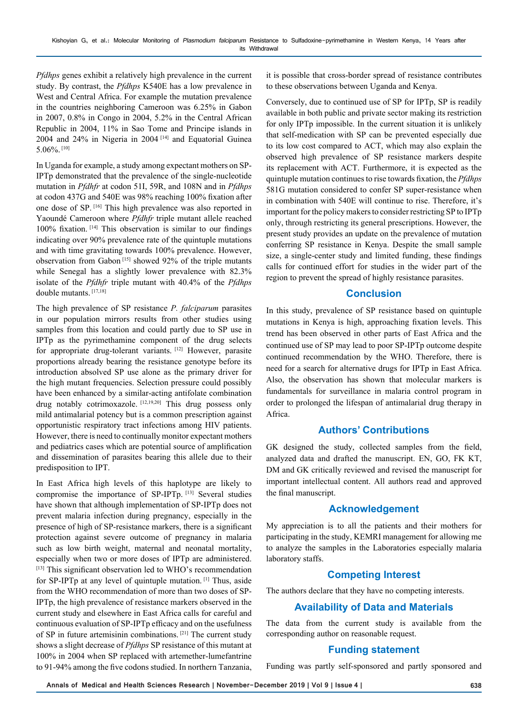*Pfdhps* genes exhibit a relatively high prevalence in the current study. By contrast, the *Pfdhps* K540E has a low prevalence in West and Central Africa. For example the mutation prevalence in the countries neighboring Cameroon was 6.25% in Gabon in 2007, 0.8% in Congo in 2004, 5.2% in the Central African Republic in 2004, 11% in Sao Tome and Principe islands in 2004 and 24% in Nigeria in 2004 [14] and Equatorial Guinea 5.06%. [10]

In Uganda for example, a study among expectant mothers on SP-IPTp demonstrated that the prevalence of the single-nucleotide mutation in *Pfdhfr* at codon 51I, 59R, and 108N and in *Pfdhps* at codon 437G and 540E was 98% reaching 100% fixation after one dose of SP. [16] This high prevalence was also reported in Yaoundé Cameroon where *Pfdhfr* triple mutant allele reached 100% fixation. [14] This observation is similar to our findings indicating over 90% prevalence rate of the quintuple mutations and with time gravitating towards 100% prevalence. However, observation from Gabon [15] showed 92% of the triple mutants while Senegal has a slightly lower prevalence with  $82.3\%$ isolate of the *Pfdhfr* triple mutant with 40.4% of the *Pfdhps* double mutants. [17,18]

The high prevalence of SP resistance *P. falciparum* parasites in our population mirrors results from other studies using samples from this location and could partly due to SP use in IPTp as the pyrimethamine component of the drug selects for appropriate drug-tolerant variants. [12] However, parasite proportions already bearing the resistance genotype before its introduction absolved SP use alone as the primary driver for the high mutant frequencies. Selection pressure could possibly have been enhanced by a similar-acting antifolate combination drug notably cotrimoxazole. [12,19,20] This drug possess only mild antimalarial potency but is a common prescription against opportunistic respiratory tract infections among HIV patients. However, there is need to continually monitor expectant mothers and pediatrics cases which are potential source of amplification and dissemination of parasites bearing this allele due to their predisposition to IPT.

In East Africa high levels of this haplotype are likely to compromise the importance of SP-IPTp. [13] Several studies have shown that although implementation of SP-IPTp does not prevent malaria infection during pregnancy, especially in the presence of high of SP-resistance markers, there is a significant protection against severe outcome of pregnancy in malaria such as low birth weight, maternal and neonatal mortality, especially when two or more doses of IPTp are administered. [13] This significant observation led to WHO's recommendation for SP-IPTp at any level of quintuple mutation. [1] Thus, aside from the WHO recommendation of more than two doses of SP-IPTp, the high prevalence of resistance markers observed in the current study and elsewhere in East Africa calls for careful and continuous evaluation of SP-IPTp efficacy and on the usefulness of SP in future artemisinin combinations. [21] The current study shows a slight decrease of *Pfdhps* SP resistance of this mutant at 100% in 2004 when SP replaced with artemether-lumefantrine to 91-94% among the five codons studied. In northern Tanzania,

it is possible that cross-border spread of resistance contributes to these observations between Uganda and Kenya.

Conversely, due to continued use of SP for IPTp, SP is readily available in both public and private sector making its restriction for only IPTp impossible. In the current situation it is unlikely that self-medication with SP can be prevented especially due to its low cost compared to ACT, which may also explain the observed high prevalence of SP resistance markers despite its replacement with ACT. Furthermore, it is expected as the quintuple mutation continues to rise towards fixation, the *Pfdhps* 581G mutation considered to confer SP super-resistance when in combination with 540E will continue to rise. Therefore, it's important for the policy makers to consider restricting SP to IPTp only, through restricting its general prescriptions. However, the present study provides an update on the prevalence of mutation conferring SP resistance in Kenya. Despite the small sample size, a single-center study and limited funding, these findings calls for continued effort for studies in the wider part of the region to prevent the spread of highly resistance parasites.

## **Conclusion**

In this study, prevalence of SP resistance based on quintuple mutations in Kenya is high, approaching fixation levels. This trend has been observed in other parts of East Africa and the continued use of SP may lead to poor SP-IPTp outcome despite continued recommendation by the WHO. Therefore, there is need for a search for alternative drugs for IPTp in East Africa. Also, the observation has shown that molecular markers is fundamentals for surveillance in malaria control program in order to prolonged the lifespan of antimalarial drug therapy in Africa.

# **Authors' Contributions**

GK designed the study, collected samples from the field, analyzed data and drafted the manuscript. EN, GO, FK KT, DM and GK critically reviewed and revised the manuscript for important intellectual content. All authors read and approved the final manuscript.

## **Acknowledgement**

My appreciation is to all the patients and their mothers for participating in the study, KEMRI management for allowing me to analyze the samples in the Laboratories especially malaria laboratory staffs.

# **Competing Interest**

The authors declare that they have no competing interests.

# **Availability of Data and Materials**

The data from the current study is available from the corresponding author on reasonable request.

# **Funding statement**

Funding was partly self-sponsored and partly sponsored and